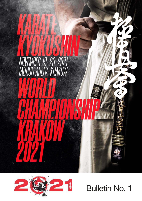



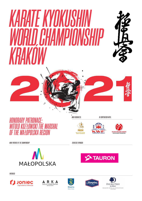# *KARATE KYOKUSHIN WORLD CHAMPIONSHIP<br>WORLD CHAMPIONSHIP<br>KRAKÓW*





*MAIN ORGANIZER: IN COOPERATION WITH:* 

**OLSKI ZWIĄZEK KARATE**<br>BOLISH KARATE EEDERATION

*HONORARY PATRONAGE: WITOLD KOZŁOWSKI THE MARSHAL OF THE MAŁOPOLSKA REGION*

 $\mathcal{S}$ 

MAŁOPOLSKA REGION KARATE FEDERATION MOZK 空 手



*MAIN PARTNER OF THE CHAMPIONSHIP STRATEGIC SPONSOR:*





*PARTNERS:*









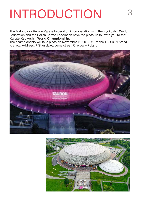### INTRODUCTION 3

The Małopolska Region Karate Federation in cooperation with the Kyokushin World Federation and the Polish Karate Federation have the pleasure to invite you to the: Karate Kyokushin World Championship.

The championship will take place on November 19-20, 2021 at the TAURON Arena Kraków. Address: 7 Stanisława Lema street, Cracow – Poland.



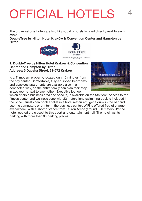## OFFICIAL HOTELS 4

The organizational hotels are two high-quality hotels located directly next to each other.

DoubleTree by Hilton Hotel Kraków & Convention Center and Hampton by Hilton.



#### 1. DoubleTree by Hilton Hotel Kraków & Convention Center and Hampton by Hilton. Address: 5 Dąbska Street, 31-572 Kraków

Is a 4\* modern property, located only 10 minutes from the city center. Comfortable, fully-equipped bedrooms and spacious apartments are available also in a connected way, so the entire family can plan their stay in two rooms next to each other. Executive lounge,



which offers a business area and snacks, is available on the 5th floor. Access to the fitness center and wellness zone with 22 meters long swimming pool, is included in the price. Guests can book a table in a hotel restaurant, get a drink in the bar and use the computers or printer in the business center. WiFi is offered free of charge everywhere. With a short distance from Tauron Arena (around 800 meters) it's the hotel located the closest to this sport and entertainment hall. The hotel has its parking with more than 80 parking places.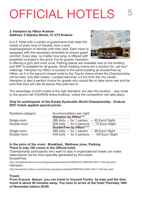## OFFICIAL HOTELS

#### 2. Hampton by Hilton Kraków Address: 5 Dąbska Street, 31-572 Kraków

Is a 3\* hotel with a variety of guestrooms that meet the needs of every kind of traveler, from a solo

businessperson to families with their pets. Each room is equipped with the necessary amenities to ensure guest comfort. Every stay, no matter how long, is offered with breakfast included in the price. For its guests, Hampton



is offering a gym and work zone. Parking places are available next to the building and WiFi is available for all quests. Small meeting rooms are a solution for ..ad-hoc" meetings. Hampton by Hilton is located in the same building as DoubleTree by Hilton, so it is the second closest hotel to the Tauron Arena where the Championship will be held, only 800 meters. Located less than 3,5 km from the city center, Hampton is also a perfect choice for guests who would like to take some rest and be sure that they will visit all places they planned to.

The advantage of both hotels is the high standard, but also the location - very close to the sports hall (TAURON Arena Kraków), where the competition will take place.

#### Only for participants of the Karate Kyokushin World Championship - Krakow 2021 hotels applied special prices:

| Numbers category | Accommodation per night                     |
|------------------|---------------------------------------------|
|                  | <b>Hampton by Hilton***</b>                 |
| Single room      | 289 zloty - for 1 person - 65 Euro/ Night   |
| Double room      | 329 zloty - for 2 persons - 73 Euro/ Night  |
|                  | <b>DoubleTree by Hilton****</b>             |
| Single room      | $399$ zloty - for 1 person - 89 Euro/ Night |
| Double room      | 449 zloty - for 2 persons - 100 Euro/ Night |

#### In the price of the room: Breakfast, Wellness zone, Parking. There is only 100 rooms in the Official hotel.

Championship participants who want to stay in organizational hotels can make reservations via the links specially generated by the hotels: DoubleTree:

http://doubletree.hilton.com/en/dt/groups/personalized/K/KRKCCDI-CMSKAR-20211118/index.jhtml Hampton:

http://hamptoninn.hilton.com/en/hp/groups/personalized/K/KRKHXHX-SNG-20211118/index.jhtml

#### Travel.

From Cracow Airport you can travel to Cracow Centre by train and the time travel is about 30 minutes away. You have to arrive at the hotel Thursday 18th of November before 20:00.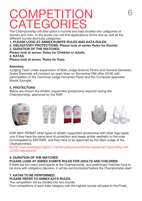### **COMPETITION CATEGORIES**

The Championship will take place in kumite and kata divided into categories of women and men. In the annex you will find applications forms and as well all the different kumite and kata categories.

- 1. PLEASE LOOK AT ANNEX KUMITE RULES AND KATA RULES.
- 2. OBLIGATORY PROTECTIONS: Please look at annex Rules for Kumite.

### 3. DURATION OF THE MATCHES.

Please look at annex: Rules for Children or Adults.

#### 4. KATAS.

Please look at annex. Rules for Kata.

### Attention:

Judging Team under supervision of Main Judge Antonio Pinero and General Secretary Andre Drewniak will conduct an open draw on November18th after 20:00 with participation of the Technical Judge Fernando Perez and the Computer specialist Marek Szyngiel.

### 5. PROTECTORS

Below are shown the athletic supporters (protectors) required during the Championship, approved by the KWF.



KWF MAY PERMIT other types of athletic supporters (protectors) with other logo types only if they have the same level of protection and keeps similar aesthetic to the ones homologated by EKF/KWF, and they have to be approved by the Main Judge of the Championships.

NOTE! Each participant fights in his/her personal protective equipment (according with COVID regulations).

#### 6. DURATION OF THE MATCHES PLEASE LOOK AT ANNEX KUMITE RULES FOR ADULTS AND CHILDREN.

If there are too many participants at the Championship, and preliminary matches have to be done with obligatory decision, it will be communicated before the Championship start.

### 7. KATAS TO BE PERFORMED. PLEASE REFER TO ANNEX KATA RULES.

The competition will be divided into two rounds.

Four competitors of each kata category with the highest scores will pass to the Finals.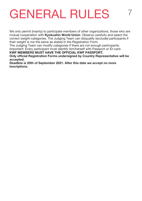### **GENERAL RULES**

We only permit (mainly) to participate members of other organizations, those who are mutual cooperation with Kyokushin World Union. Observe carefully and select the correct weight-categories. The Judging Team can disqualify (exclude) participants if their weight is not the same as stated in the Registration Form.

The Judging Team can modify categories if there are not enough participants. Important: Every participant must identify him/herself with Passport or ID-card.

KWF MEMBERS MUST HAVE THE OFFICIAL KWF PASSPORT.

Only official Registration Forms undersigned by Country Representative will be accepted.

Deadline is 20th of September 2021. After this date we accept no more inscriptions.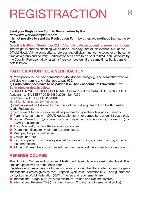### REGISTRACTION 8

Send your Registration Form to the organizer by link: http://kwf-worldchamp2021.com

It is not possible to send the Registration Form by other, old methods (no fax, no email)!

Deadline is 20th of September 2021. After this date we accept no more inscriptions. The weight in and the checking will be done Thursday 18th of November 2021 at the Official Hotel. All the competitors, referees and officials must come together at the same time as a group and country. Participation fees have to be paid to KWF bank account by the Country Representative for all his/hers competitors at the same time. Bank transfer details below.

### PARTICIPATION FEE & VERIFICATION

a) Participation fee per one competitor is 45€ (for one category). The competitor who will participate in kumite and kata have to pay 90€.

b) Participation fees have to be paid to KWF bank account until November 5th. Bank transfer details below:

KYOKUSHIN WORLD ASSOCIATIN, NIF G05347216 at the BANCO DE SANTANDER Account no: IBAN ES77 0049 5480 2029 1624 7359

BIC-code SWIFT: BSCHESMMXXX

#### Note! Bank fee is paid by the payer.

c) Verification will be followed by members of the Judging Team from the Kyokushin World Federation.

- d) On the weight-check- in you must be prepared to give the following documents:
- A Parents Agreement with COVID declaration (only for competitors under 18 years old).
- A Fighter Waiver Form (you have to fill in and sign the document during the weigh in) with COVID declaration
- A ID or Passport (to check the nationality and age).
- $\bullet$  Doctors certificate (only for kumite competitors).
- $\bullet$  Must pay the participation fee.
- **Verification Card**
- A Each competitor must have a personal insurance for any accident that may occur at the competitions.
- A All the KWF members must present their KWF passport if not must buy a new one.

### REFEREE COURSE

The Judging Course and Coaches Meeting will take place in a designated hotel. The time and place will be announced later.

Registration is free, except for those who want to obtain the title of International Judge or International Referee given by the European Kyokushin Federation (EKF) and guaranteed by Kyokushin World Federation (KWF). The fee and requirements are:

- $\bullet$  International Judge: 50  $\epsilon$  (must be minimum 1st dan and National referee).
- A International Referee: 75  $\epsilon$  (must be minimum 2nd dan and International Judge).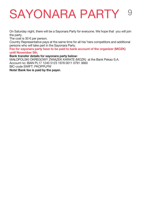### SAYONARA PARTY 9

On Saturday night, there will be a Sayonara Party for everyone. We hope that you will join the party.

The cost is 30  $\epsilon$  per person.

Country Representative pays at the same time for all his/ hers competitors and additional persons who will take part in the Sayonara Party.

Fee for sayonara party have to be paid to bank account of the organizer (MOZK) until November 5th.

#### Bank transfer details for sayonara party below:

MAŁOPOLSKI OKREGOWY ZWIĄZEK KARATE (MOZK) at the Bank Pekao S.A. Account no: IBAN PL17 1240 5123 1978 0011 0791 3660 BIC-code SWIFT: PKOPPLPW Note! Bank fee is paid by the payer.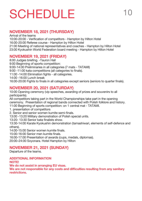### **SCHEDULE**

### NOVEMBER 18, 2021 (THURSDAY)

Arrival of the teams 10:00-20:00 - Verification of competitors - Hampton by Hilton Hotel 16:00-20:00 Referee course - Hampton by Hilton Hotel 21:00 Meeting of national representatives and coaches - Hampton by Hilton Hotel 23:00 Kyokushin World Federation board meeting - Hampton by Hilton Hotel

### NOVEMBER 19, 2021 (FRIDAY)

8:00 Judges briefing. -Tauron Hall 9:00 Beginning of sports competition: 9:00-14:00 Preliminaries in all categories (7 mats - TATAMI) 9:00 -11:00 kata competitions (all categories to finals). 11:00 -14:00 Elimination fights - all categories. 14:00 -16:00 Lunch break 16:00-20:00 Fights to finals in all categories except seniors (seniors to quarter finals).

### NOVEMBER 20, 2021 (SATURDAY)

10:00 Opening ceremony (vip speeches, awarding of prizes and souvenirs to all participants).

All competitors taking part in the World Championships take part in the opening ceremony. Presentation of regional bands connected with Polish folklore and history.

11:00 Beginning of sports competition: on 1 central mat - TATAMI.

1. presentation of competitors

2. Senior and senior women kumite semi-finals.

13:00 -13:20 Military demonstration of Polish special units.

13:20- 13:30 Senior kata finalists show.

13:30-14:00 Karate Kyokushin demonstration (tamashiwari, elements of self-defence and others).

14:00-15:00 Senior women kumite finals.

15:00-16:00 Senior men kumite finals.

16:00-17:00 Presentation of awards (cups, medals, diplomas).

20:00–24:00 Soyonara. Hotel Hampton by Hilton

### NOVEMBER 21, 2021 (SUNDAY)

Departure of the teams.

ADDITIONAL INFORMATION NOTE!

We do not assist in arranging EU visas.

We are not responsible for any costs and difficulties resulting from any sanitary restrictions.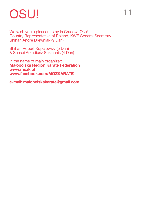### OSU!

We wish you a pleasant stay in Cracow. Osu! Country Representative of Poland, KWF General Secretary Shihan Andre Drewniak (9 Dan)

Shihan Robert Kopciowski (5 Dan) & Sensei Arkadiusz Sukiennik (4 Dan)

in the name of main organizer: Małopolska Region Karate Federation www.mozk.pl www.facebook.com/MOZKARATE

e-mali: malopolskakarate@gmail.com